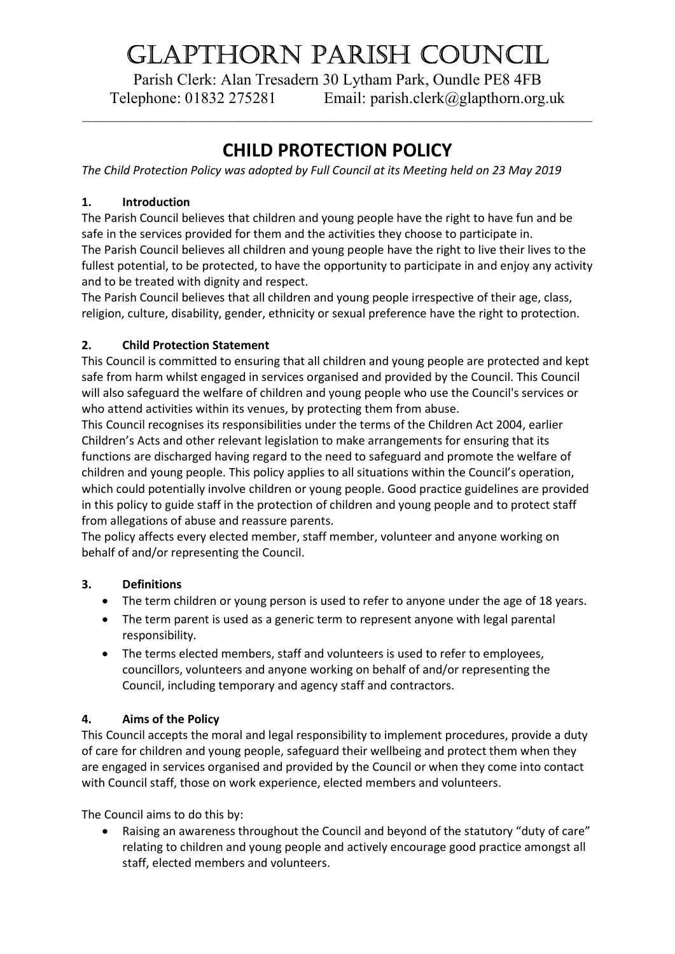# Glapthorn parish CounCil

Parish Clerk: Alan Tresadern 30 Lytham Park, Oundle PE8 4FB Telephone: 01832 275281 Email: parish.clerk@glapthorn.org.uk

 $\_$  , and the set of the set of the set of the set of the set of the set of the set of the set of the set of the set of the set of the set of the set of the set of the set of the set of the set of the set of the set of th

# CHILD PROTECTION POLICY

The Child Protection Policy was adopted by Full Council at its Meeting held on 23 May 2019

# 1. Introduction

The Parish Council believes that children and young people have the right to have fun and be safe in the services provided for them and the activities they choose to participate in. The Parish Council believes all children and young people have the right to live their lives to the fullest potential, to be protected, to have the opportunity to participate in and enjoy any activity and to be treated with dignity and respect.

The Parish Council believes that all children and young people irrespective of their age, class, religion, culture, disability, gender, ethnicity or sexual preference have the right to protection.

# 2. Child Protection Statement

This Council is committed to ensuring that all children and young people are protected and kept safe from harm whilst engaged in services organised and provided by the Council. This Council will also safeguard the welfare of children and young people who use the Council's services or who attend activities within its venues, by protecting them from abuse.

This Council recognises its responsibilities under the terms of the Children Act 2004, earlier Children's Acts and other relevant legislation to make arrangements for ensuring that its functions are discharged having regard to the need to safeguard and promote the welfare of children and young people. This policy applies to all situations within the Council's operation, which could potentially involve children or young people. Good practice guidelines are provided in this policy to guide staff in the protection of children and young people and to protect staff from allegations of abuse and reassure parents.

The policy affects every elected member, staff member, volunteer and anyone working on behalf of and/or representing the Council.

# 3. Definitions

- The term children or young person is used to refer to anyone under the age of 18 years.
- The term parent is used as a generic term to represent anyone with legal parental responsibility.
- The terms elected members, staff and volunteers is used to refer to employees, councillors, volunteers and anyone working on behalf of and/or representing the Council, including temporary and agency staff and contractors.

# 4. Aims of the Policy

This Council accepts the moral and legal responsibility to implement procedures, provide a duty of care for children and young people, safeguard their wellbeing and protect them when they are engaged in services organised and provided by the Council or when they come into contact with Council staff, those on work experience, elected members and volunteers.

The Council aims to do this by:

• Raising an awareness throughout the Council and beyond of the statutory "duty of care" relating to children and young people and actively encourage good practice amongst all staff, elected members and volunteers.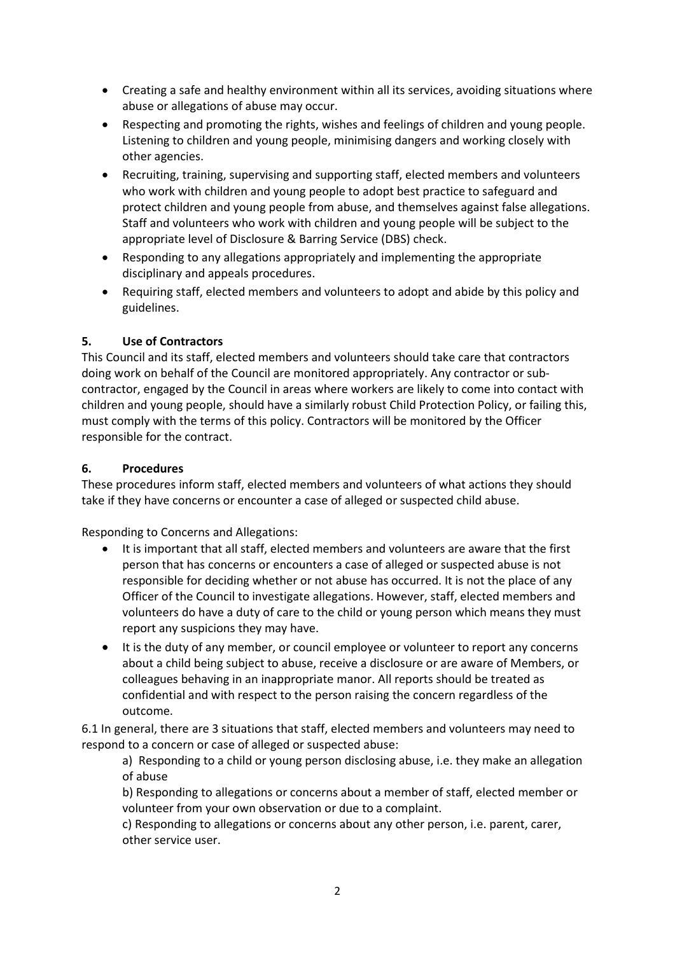- Creating a safe and healthy environment within all its services, avoiding situations where abuse or allegations of abuse may occur.
- Respecting and promoting the rights, wishes and feelings of children and young people. Listening to children and young people, minimising dangers and working closely with other agencies.
- Recruiting, training, supervising and supporting staff, elected members and volunteers who work with children and young people to adopt best practice to safeguard and protect children and young people from abuse, and themselves against false allegations. Staff and volunteers who work with children and young people will be subject to the appropriate level of Disclosure & Barring Service (DBS) check.
- Responding to any allegations appropriately and implementing the appropriate disciplinary and appeals procedures.
- Requiring staff, elected members and volunteers to adopt and abide by this policy and guidelines.

### 5. Use of Contractors

This Council and its staff, elected members and volunteers should take care that contractors doing work on behalf of the Council are monitored appropriately. Any contractor or subcontractor, engaged by the Council in areas where workers are likely to come into contact with children and young people, should have a similarly robust Child Protection Policy, or failing this, must comply with the terms of this policy. Contractors will be monitored by the Officer responsible for the contract.

### 6. Procedures

These procedures inform staff, elected members and volunteers of what actions they should take if they have concerns or encounter a case of alleged or suspected child abuse.

Responding to Concerns and Allegations:

- It is important that all staff, elected members and volunteers are aware that the first person that has concerns or encounters a case of alleged or suspected abuse is not responsible for deciding whether or not abuse has occurred. It is not the place of any Officer of the Council to investigate allegations. However, staff, elected members and volunteers do have a duty of care to the child or young person which means they must report any suspicions they may have.
- It is the duty of any member, or council employee or volunteer to report any concerns about a child being subject to abuse, receive a disclosure or are aware of Members, or colleagues behaving in an inappropriate manor. All reports should be treated as confidential and with respect to the person raising the concern regardless of the outcome.

6.1 In general, there are 3 situations that staff, elected members and volunteers may need to respond to a concern or case of alleged or suspected abuse:

a) Responding to a child or young person disclosing abuse, i.e. they make an allegation of abuse

b) Responding to allegations or concerns about a member of staff, elected member or volunteer from your own observation or due to a complaint.

c) Responding to allegations or concerns about any other person, i.e. parent, carer, other service user.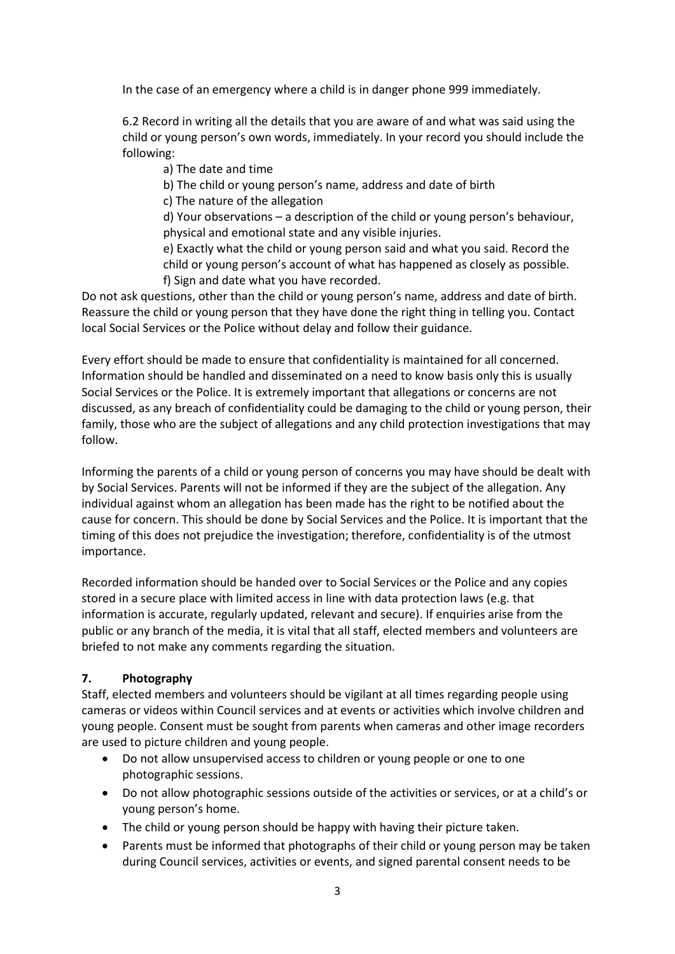In the case of an emergency where a child is in danger phone 999 immediately.

6.2 Record in writing all the details that you are aware of and what was said using the child or young person's own words, immediately. In your record you should include the following:

a) The date and time

b) The child or young person's name, address and date of birth

c) The nature of the allegation

d) Your observations – a description of the child or young person's behaviour, physical and emotional state and any visible injuries.

e) Exactly what the child or young person said and what you said. Record the child or young person's account of what has happened as closely as possible. f) Sign and date what you have recorded.

Do not ask questions, other than the child or young person's name, address and date of birth. Reassure the child or young person that they have done the right thing in telling you. Contact local Social Services or the Police without delay and follow their guidance.

Every effort should be made to ensure that confidentiality is maintained for all concerned. Information should be handled and disseminated on a need to know basis only this is usually Social Services or the Police. It is extremely important that allegations or concerns are not discussed, as any breach of confidentiality could be damaging to the child or young person, their family, those who are the subject of allegations and any child protection investigations that may follow.

Informing the parents of a child or young person of concerns you may have should be dealt with by Social Services. Parents will not be informed if they are the subject of the allegation. Any individual against whom an allegation has been made has the right to be notified about the cause for concern. This should be done by Social Services and the Police. It is important that the timing of this does not prejudice the investigation; therefore, confidentiality is of the utmost importance.

Recorded information should be handed over to Social Services or the Police and any copies stored in a secure place with limited access in line with data protection laws (e.g. that information is accurate, regularly updated, relevant and secure). If enquiries arise from the public or any branch of the media, it is vital that all staff, elected members and volunteers are briefed to not make any comments regarding the situation.

### 7. Photography

Staff, elected members and volunteers should be vigilant at all times regarding people using cameras or videos within Council services and at events or activities which involve children and young people. Consent must be sought from parents when cameras and other image recorders are used to picture children and young people.

- Do not allow unsupervised access to children or young people or one to one photographic sessions.
- Do not allow photographic sessions outside of the activities or services, or at a child's or young person's home.
- The child or young person should be happy with having their picture taken.
- Parents must be informed that photographs of their child or young person may be taken during Council services, activities or events, and signed parental consent needs to be